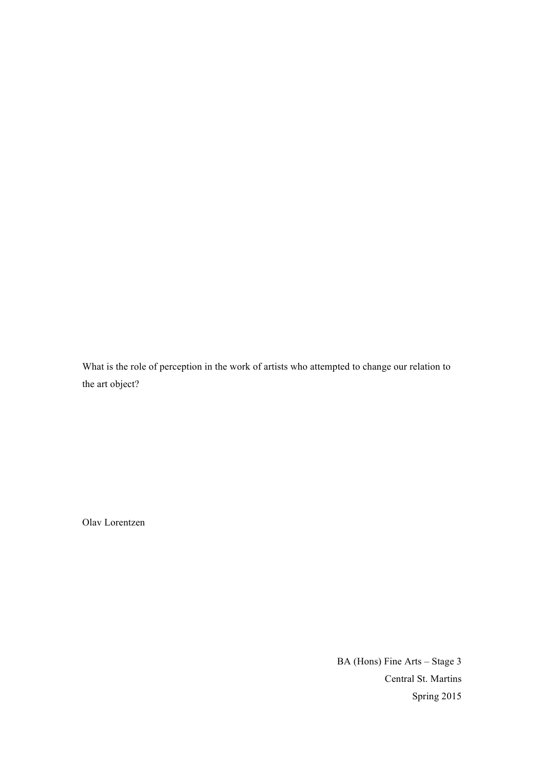What is the role of perception in the work of artists who attempted to change our relation to the art object?

Olav Lorentzen

BA (Hons) Fine Arts – Stage 3 Central St. Martins Spring 2015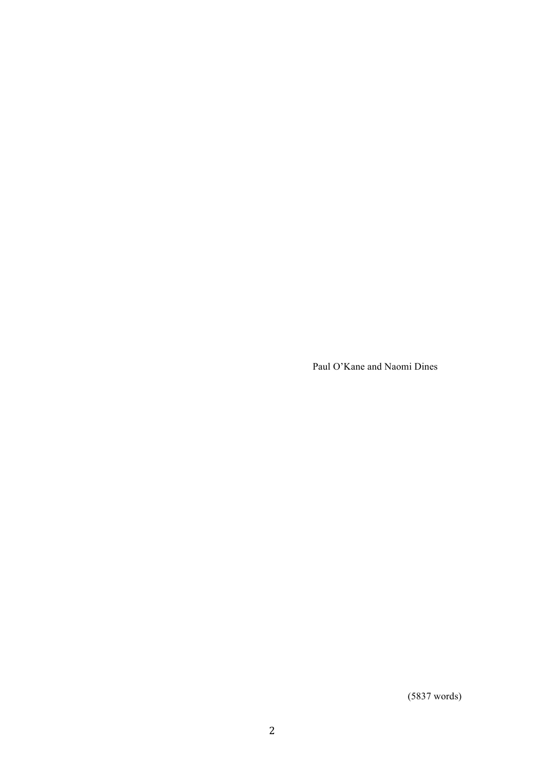Paul O'Kane and Naomi Dines

(5837 words)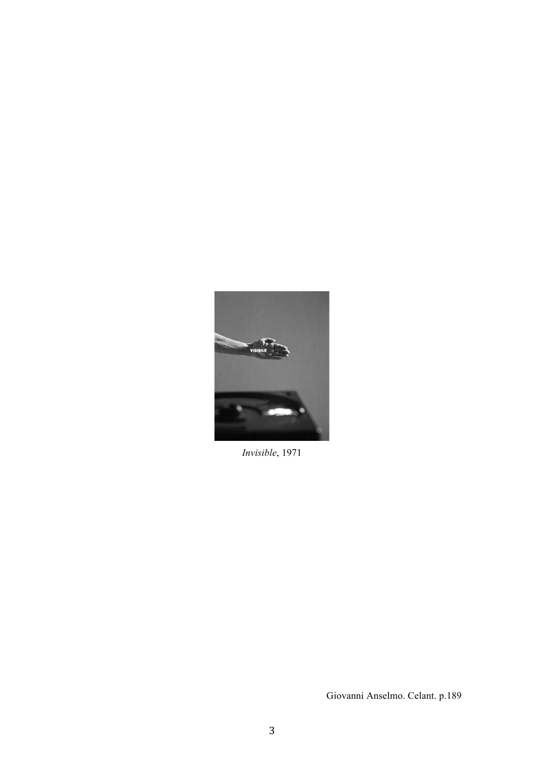

*Invisible*, 1971

Giovanni Anselmo. Celant. p.189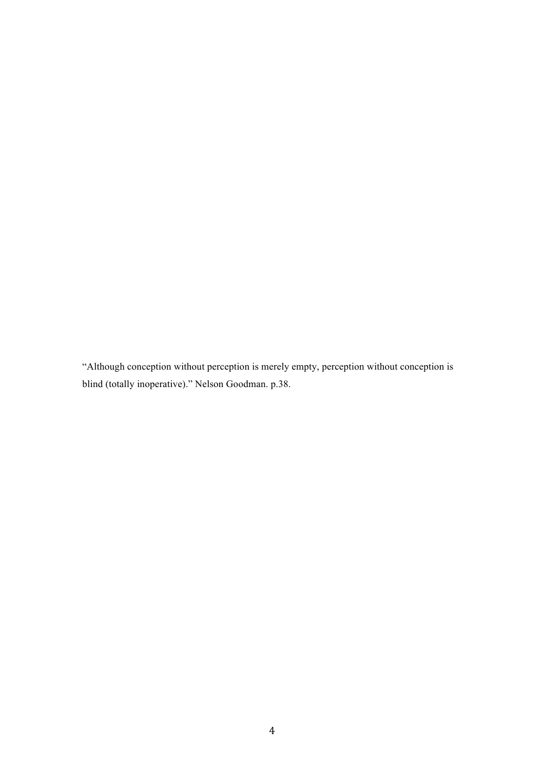"Although conception without perception is merely empty, perception without conception is blind (totally inoperative)." Nelson Goodman. p.38.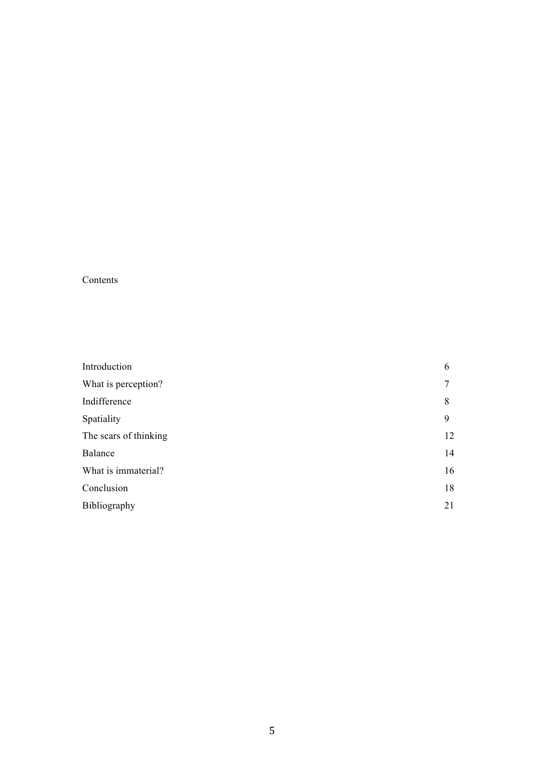# Contents

| Introduction          | 6  |
|-----------------------|----|
| What is perception?   | 7  |
| Indifference          | 8  |
| Spatiality            | 9  |
| The scars of thinking | 12 |
| Balance               | 14 |
| What is immaterial?   | 16 |
| Conclusion            | 18 |
| Bibliography          | 21 |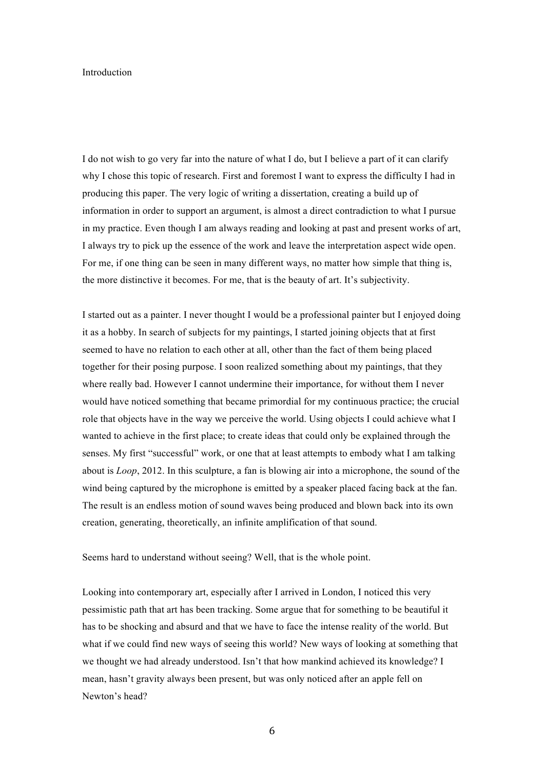#### Introduction

I do not wish to go very far into the nature of what I do, but I believe a part of it can clarify why I chose this topic of research. First and foremost I want to express the difficulty I had in producing this paper. The very logic of writing a dissertation, creating a build up of information in order to support an argument, is almost a direct contradiction to what I pursue in my practice. Even though I am always reading and looking at past and present works of art, I always try to pick up the essence of the work and leave the interpretation aspect wide open. For me, if one thing can be seen in many different ways, no matter how simple that thing is, the more distinctive it becomes. For me, that is the beauty of art. It's subjectivity.

I started out as a painter. I never thought I would be a professional painter but I enjoyed doing it as a hobby. In search of subjects for my paintings, I started joining objects that at first seemed to have no relation to each other at all, other than the fact of them being placed together for their posing purpose. I soon realized something about my paintings, that they where really bad. However I cannot undermine their importance, for without them I never would have noticed something that became primordial for my continuous practice; the crucial role that objects have in the way we perceive the world. Using objects I could achieve what I wanted to achieve in the first place; to create ideas that could only be explained through the senses. My first "successful" work, or one that at least attempts to embody what I am talking about is *Loop*, 2012. In this sculpture, a fan is blowing air into a microphone, the sound of the wind being captured by the microphone is emitted by a speaker placed facing back at the fan. The result is an endless motion of sound waves being produced and blown back into its own creation, generating, theoretically, an infinite amplification of that sound.

Seems hard to understand without seeing? Well, that is the whole point.

Looking into contemporary art, especially after I arrived in London, I noticed this very pessimistic path that art has been tracking. Some argue that for something to be beautiful it has to be shocking and absurd and that we have to face the intense reality of the world. But what if we could find new ways of seeing this world? New ways of looking at something that we thought we had already understood. Isn't that how mankind achieved its knowledge? I mean, hasn't gravity always been present, but was only noticed after an apple fell on Newton's head?

6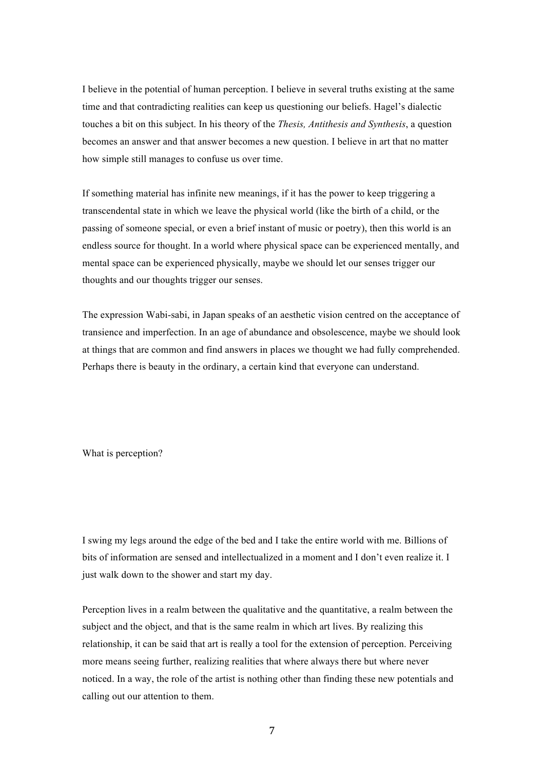I believe in the potential of human perception. I believe in several truths existing at the same time and that contradicting realities can keep us questioning our beliefs. Hagel's dialectic touches a bit on this subject. In his theory of the *Thesis, Antithesis and Synthesis*, a question becomes an answer and that answer becomes a new question. I believe in art that no matter how simple still manages to confuse us over time.

If something material has infinite new meanings, if it has the power to keep triggering a transcendental state in which we leave the physical world (like the birth of a child, or the passing of someone special, or even a brief instant of music or poetry), then this world is an endless source for thought. In a world where physical space can be experienced mentally, and mental space can be experienced physically, maybe we should let our senses trigger our thoughts and our thoughts trigger our senses.

The expression Wabi-sabi, in Japan speaks of an aesthetic vision centred on the acceptance of transience and imperfection. In an age of abundance and obsolescence, maybe we should look at things that are common and find answers in places we thought we had fully comprehended. Perhaps there is beauty in the ordinary, a certain kind that everyone can understand.

What is perception?

I swing my legs around the edge of the bed and I take the entire world with me. Billions of bits of information are sensed and intellectualized in a moment and I don't even realize it. I just walk down to the shower and start my day.

Perception lives in a realm between the qualitative and the quantitative, a realm between the subject and the object, and that is the same realm in which art lives. By realizing this relationship, it can be said that art is really a tool for the extension of perception. Perceiving more means seeing further, realizing realities that where always there but where never noticed. In a way, the role of the artist is nothing other than finding these new potentials and calling out our attention to them.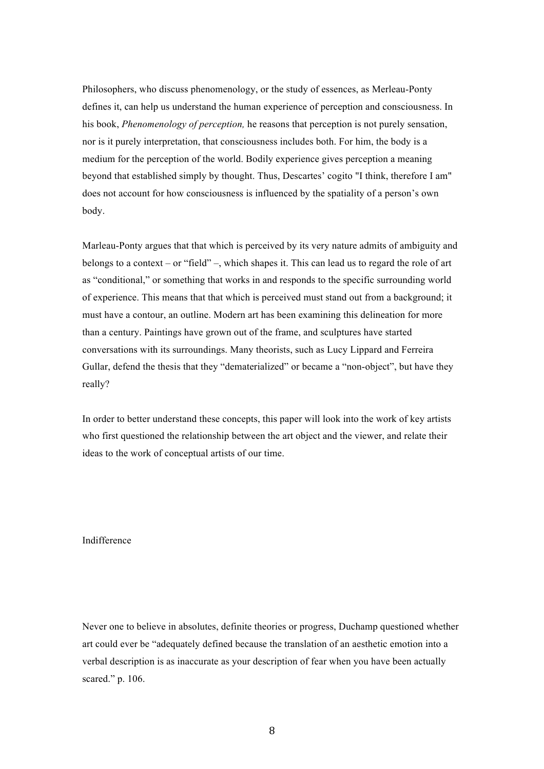Philosophers, who discuss phenomenology, or the study of essences, as Merleau-Ponty defines it, can help us understand the human experience of perception and consciousness. In his book, *Phenomenology of perception,* he reasons that perception is not purely sensation, nor is it purely interpretation, that consciousness includes both. For him, the body is a medium for the perception of the world. Bodily experience gives perception a meaning beyond that established simply by thought. Thus, Descartes' cogito "I think, therefore I am" does not account for how consciousness is influenced by the spatiality of a person's own body.

Marleau-Ponty argues that that which is perceived by its very nature admits of ambiguity and belongs to a context – or "field" –, which shapes it. This can lead us to regard the role of art as "conditional," or something that works in and responds to the specific surrounding world of experience. This means that that which is perceived must stand out from a background; it must have a contour, an outline. Modern art has been examining this delineation for more than a century. Paintings have grown out of the frame, and sculptures have started conversations with its surroundings. Many theorists, such as Lucy Lippard and Ferreira Gullar, defend the thesis that they "dematerialized" or became a "non-object", but have they really?

In order to better understand these concepts, this paper will look into the work of key artists who first questioned the relationship between the art object and the viewer, and relate their ideas to the work of conceptual artists of our time.

# Indifference

Never one to believe in absolutes, definite theories or progress, Duchamp questioned whether art could ever be "adequately defined because the translation of an aesthetic emotion into a verbal description is as inaccurate as your description of fear when you have been actually scared." p. 106.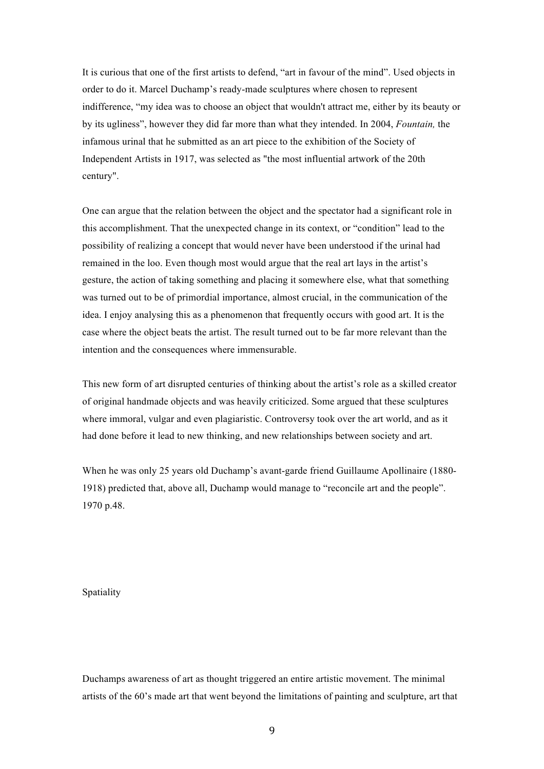It is curious that one of the first artists to defend, "art in favour of the mind". Used objects in order to do it. Marcel Duchamp's ready-made sculptures where chosen to represent indifference, "my idea was to choose an object that wouldn't attract me, either by its beauty or by its ugliness", however they did far more than what they intended. In 2004, *Fountain,* the infamous urinal that he submitted as an art piece to the exhibition of the Society of Independent Artists in 1917, was selected as "the most influential artwork of the 20th century".

One can argue that the relation between the object and the spectator had a significant role in this accomplishment. That the unexpected change in its context, or "condition" lead to the possibility of realizing a concept that would never have been understood if the urinal had remained in the loo. Even though most would argue that the real art lays in the artist's gesture, the action of taking something and placing it somewhere else, what that something was turned out to be of primordial importance, almost crucial, in the communication of the idea. I enjoy analysing this as a phenomenon that frequently occurs with good art. It is the case where the object beats the artist. The result turned out to be far more relevant than the intention and the consequences where immensurable.

This new form of art disrupted centuries of thinking about the artist's role as a skilled creator of original handmade objects and was heavily criticized. Some argued that these sculptures where immoral, vulgar and even plagiaristic. Controversy took over the art world, and as it had done before it lead to new thinking, and new relationships between society and art.

When he was only 25 years old Duchamp's avant-garde friend Guillaume Apollinaire (1880- 1918) predicted that, above all, Duchamp would manage to "reconcile art and the people". 1970 p.48.

Spatiality

Duchamps awareness of art as thought triggered an entire artistic movement. The minimal artists of the 60's made art that went beyond the limitations of painting and sculpture, art that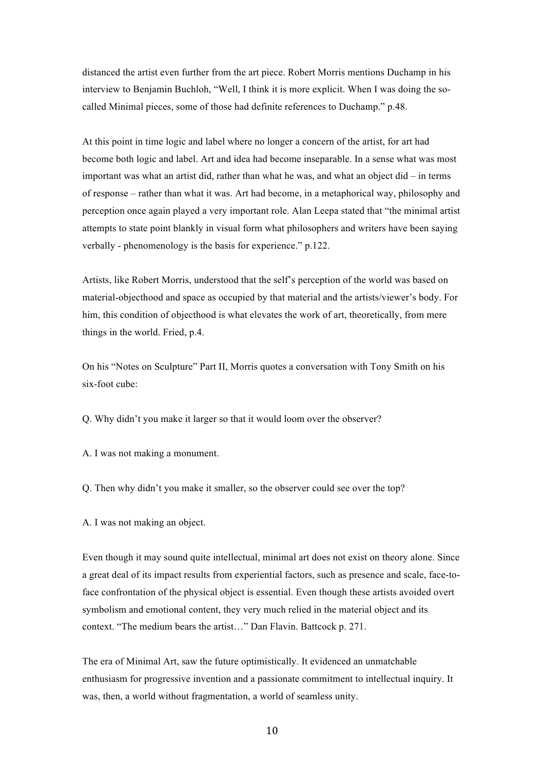distanced the artist even further from the art piece. Robert Morris mentions Duchamp in his interview to Benjamin Buchloh, "Well, I think it is more explicit. When I was doing the socalled Minimal pieces, some of those had definite references to Duchamp." p.48.

At this point in time logic and label where no longer a concern of the artist, for art had become both logic and label. Art and idea had become inseparable. In a sense what was most important was what an artist did, rather than what he was, and what an object did – in terms of response – rather than what it was. Art had become, in a metaphorical way, philosophy and perception once again played a very important role. Alan Leepa stated that "the minimal artist attempts to state point blankly in visual form what philosophers and writers have been saying verbally - phenomenology is the basis for experience." p.122.

Artists, like Robert Morris, understood that the self's perception of the world was based on material-objecthood and space as occupied by that material and the artists/viewer's body. For him, this condition of objecthood is what elevates the work of art, theoretically, from mere things in the world. Fried, p.4.

On his "Notes on Sculpture" Part II, Morris quotes a conversation with Tony Smith on his six-foot cube:

Q. Why didn't you make it larger so that it would loom over the observer?

A. I was not making a monument.

Q. Then why didn't you make it smaller, so the observer could see over the top?

A. I was not making an object.

Even though it may sound quite intellectual, minimal art does not exist on theory alone. Since a great deal of its impact results from experiential factors, such as presence and scale, face-toface confrontation of the physical object is essential. Even though these artists avoided overt symbolism and emotional content, they very much relied in the material object and its context. "The medium bears the artist…" Dan Flavin. Battcock p. 271.

The era of Minimal Art, saw the future optimistically. It evidenced an unmatchable enthusiasm for progressive invention and a passionate commitment to intellectual inquiry. It was, then, a world without fragmentation, a world of seamless unity.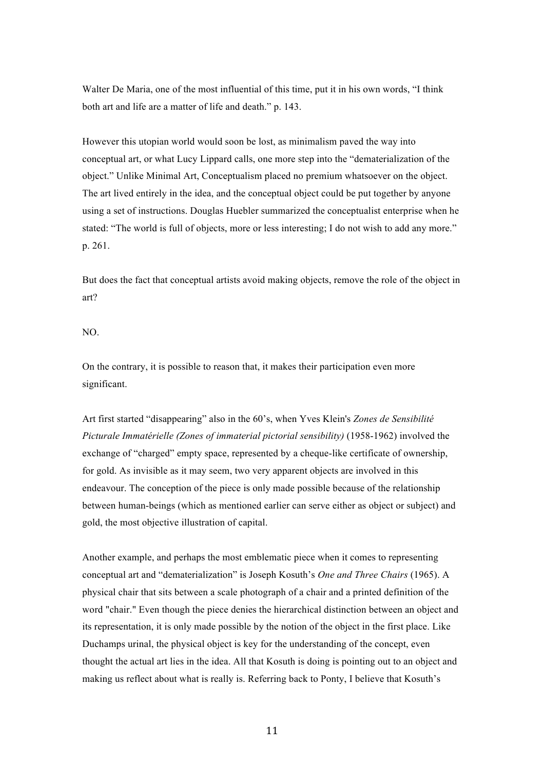Walter De Maria, one of the most influential of this time, put it in his own words, "I think both art and life are a matter of life and death." p. 143.

However this utopian world would soon be lost, as minimalism paved the way into conceptual art, or what Lucy Lippard calls, one more step into the "dematerialization of the object." Unlike Minimal Art, Conceptualism placed no premium whatsoever on the object. The art lived entirely in the idea, and the conceptual object could be put together by anyone using a set of instructions. Douglas Huebler summarized the conceptualist enterprise when he stated: "The world is full of objects, more or less interesting; I do not wish to add any more." p. 261.

But does the fact that conceptual artists avoid making objects, remove the role of the object in art?

### NO.

On the contrary, it is possible to reason that, it makes their participation even more significant.

Art first started "disappearing" also in the 60's, when Yves Klein's *Zones de Sensibilité Picturale Immatérielle (Zones of immaterial pictorial sensibility)* (1958-1962) involved the exchange of "charged" empty space, represented by a cheque-like certificate of ownership, for gold. As invisible as it may seem, two very apparent objects are involved in this endeavour. The conception of the piece is only made possible because of the relationship between human-beings (which as mentioned earlier can serve either as object or subject) and gold, the most objective illustration of capital.

Another example, and perhaps the most emblematic piece when it comes to representing conceptual art and "dematerialization" is Joseph Kosuth's *One and Three Chairs* (1965). A physical chair that sits between a scale photograph of a chair and a printed definition of the word "chair." Even though the piece denies the hierarchical distinction between an object and its representation, it is only made possible by the notion of the object in the first place. Like Duchamps urinal, the physical object is key for the understanding of the concept, even thought the actual art lies in the idea. All that Kosuth is doing is pointing out to an object and making us reflect about what is really is. Referring back to Ponty, I believe that Kosuth's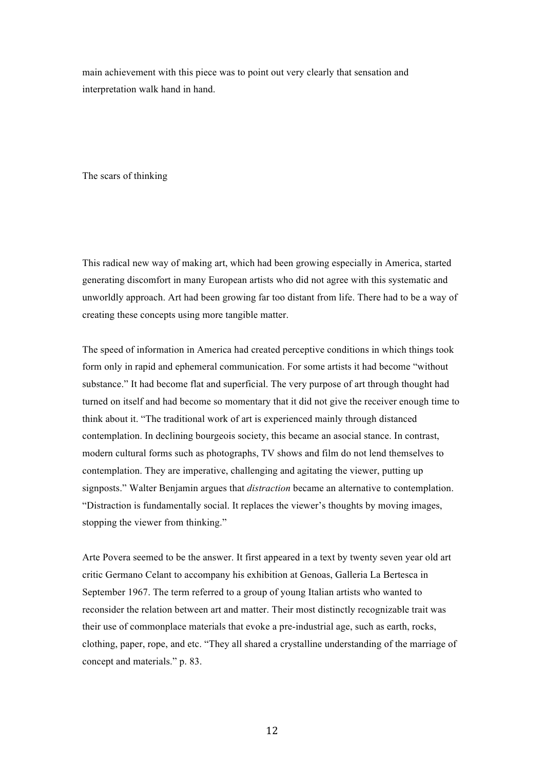main achievement with this piece was to point out very clearly that sensation and interpretation walk hand in hand.

The scars of thinking

This radical new way of making art, which had been growing especially in America, started generating discomfort in many European artists who did not agree with this systematic and unworldly approach. Art had been growing far too distant from life. There had to be a way of creating these concepts using more tangible matter.

The speed of information in America had created perceptive conditions in which things took form only in rapid and ephemeral communication. For some artists it had become "without substance." It had become flat and superficial. The very purpose of art through thought had turned on itself and had become so momentary that it did not give the receiver enough time to think about it. "The traditional work of art is experienced mainly through distanced contemplation. In declining bourgeois society, this became an asocial stance. In contrast, modern cultural forms such as photographs, TV shows and film do not lend themselves to contemplation. They are imperative, challenging and agitating the viewer, putting up signposts." Walter Benjamin argues that *distraction* became an alternative to contemplation. "Distraction is fundamentally social. It replaces the viewer's thoughts by moving images, stopping the viewer from thinking."

Arte Povera seemed to be the answer. It first appeared in a text by twenty seven year old art critic Germano Celant to accompany his exhibition at Genoas, Galleria La Bertesca in September 1967. The term referred to a group of young Italian artists who wanted to reconsider the relation between art and matter. Their most distinctly recognizable trait was their use of commonplace materials that evoke a pre-industrial age, such as earth, rocks, clothing, paper, rope, and etc. "They all shared a crystalline understanding of the marriage of concept and materials." p. 83.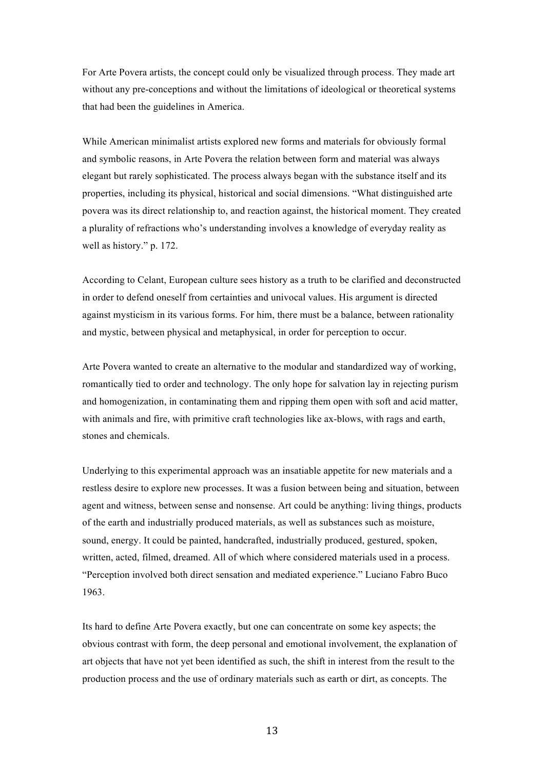For Arte Povera artists, the concept could only be visualized through process. They made art without any pre-conceptions and without the limitations of ideological or theoretical systems that had been the guidelines in America.

While American minimalist artists explored new forms and materials for obviously formal and symbolic reasons, in Arte Povera the relation between form and material was always elegant but rarely sophisticated. The process always began with the substance itself and its properties, including its physical, historical and social dimensions. "What distinguished arte povera was its direct relationship to, and reaction against, the historical moment. They created a plurality of refractions who's understanding involves a knowledge of everyday reality as well as history." p. 172.

According to Celant, European culture sees history as a truth to be clarified and deconstructed in order to defend oneself from certainties and univocal values. His argument is directed against mysticism in its various forms. For him, there must be a balance, between rationality and mystic, between physical and metaphysical, in order for perception to occur.

Arte Povera wanted to create an alternative to the modular and standardized way of working, romantically tied to order and technology. The only hope for salvation lay in rejecting purism and homogenization, in contaminating them and ripping them open with soft and acid matter, with animals and fire, with primitive craft technologies like ax-blows, with rags and earth, stones and chemicals.

Underlying to this experimental approach was an insatiable appetite for new materials and a restless desire to explore new processes. It was a fusion between being and situation, between agent and witness, between sense and nonsense. Art could be anything: living things, products of the earth and industrially produced materials, as well as substances such as moisture, sound, energy. It could be painted, handcrafted, industrially produced, gestured, spoken, written, acted, filmed, dreamed. All of which where considered materials used in a process. "Perception involved both direct sensation and mediated experience." Luciano Fabro Buco 1963.

Its hard to define Arte Povera exactly, but one can concentrate on some key aspects; the obvious contrast with form, the deep personal and emotional involvement, the explanation of art objects that have not yet been identified as such, the shift in interest from the result to the production process and the use of ordinary materials such as earth or dirt, as concepts. The

13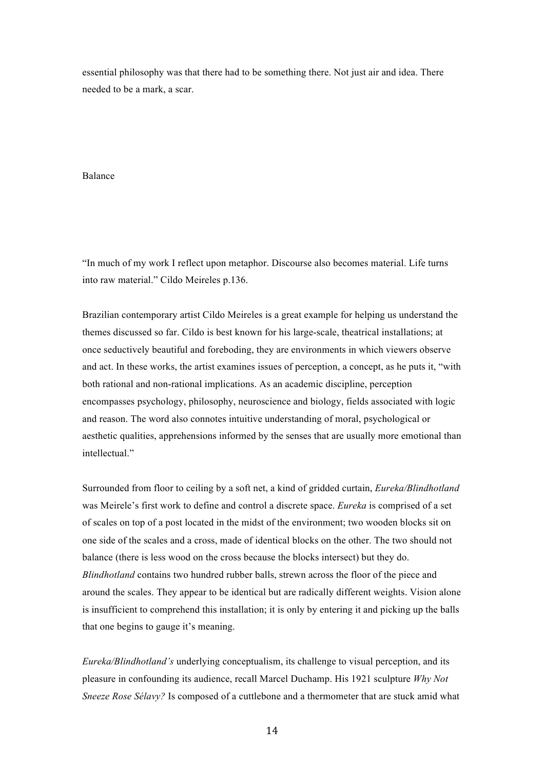essential philosophy was that there had to be something there. Not just air and idea. There needed to be a mark, a scar.

# Balance

"In much of my work I reflect upon metaphor. Discourse also becomes material. Life turns into raw material." Cildo Meireles p.136.

Brazilian contemporary artist Cildo Meireles is a great example for helping us understand the themes discussed so far. Cildo is best known for his large-scale, theatrical installations; at once seductively beautiful and foreboding, they are environments in which viewers observe and act. In these works, the artist examines issues of perception, a concept, as he puts it, "with both rational and non-rational implications. As an academic discipline, perception encompasses psychology, philosophy, neuroscience and biology, fields associated with logic and reason. The word also connotes intuitive understanding of moral, psychological or aesthetic qualities, apprehensions informed by the senses that are usually more emotional than intellectual."

Surrounded from floor to ceiling by a soft net, a kind of gridded curtain, *Eureka/Blindhotland* was Meirele's first work to define and control a discrete space. *Eureka* is comprised of a set of scales on top of a post located in the midst of the environment; two wooden blocks sit on one side of the scales and a cross, made of identical blocks on the other. The two should not balance (there is less wood on the cross because the blocks intersect) but they do. *Blindhotland* contains two hundred rubber balls, strewn across the floor of the piece and around the scales. They appear to be identical but are radically different weights. Vision alone is insufficient to comprehend this installation; it is only by entering it and picking up the balls that one begins to gauge it's meaning.

*Eureka/Blindhotland's* underlying conceptualism, its challenge to visual perception, and its pleasure in confounding its audience, recall Marcel Duchamp. His 1921 sculpture *Why Not Sneeze Rose Sélavy?* Is composed of a cuttlebone and a thermometer that are stuck amid what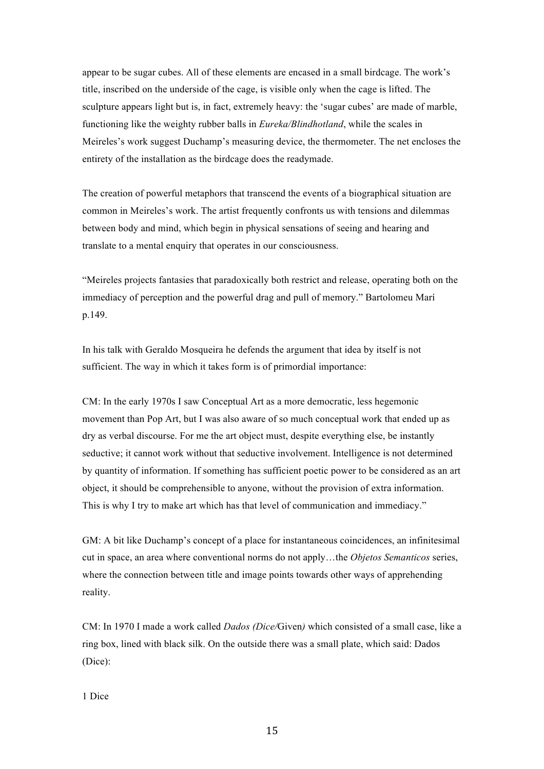appear to be sugar cubes. All of these elements are encased in a small birdcage. The work's title, inscribed on the underside of the cage, is visible only when the cage is lifted. The sculpture appears light but is, in fact, extremely heavy: the 'sugar cubes' are made of marble, functioning like the weighty rubber balls in *Eureka/Blindhotland*, while the scales in Meireles's work suggest Duchamp's measuring device, the thermometer. The net encloses the entirety of the installation as the birdcage does the readymade.

The creation of powerful metaphors that transcend the events of a biographical situation are common in Meireles's work. The artist frequently confronts us with tensions and dilemmas between body and mind, which begin in physical sensations of seeing and hearing and translate to a mental enquiry that operates in our consciousness.

"Meireles projects fantasies that paradoxically both restrict and release, operating both on the immediacy of perception and the powerful drag and pull of memory." Bartolomeu Marí p.149.

In his talk with Geraldo Mosqueira he defends the argument that idea by itself is not sufficient. The way in which it takes form is of primordial importance:

CM: In the early 1970s I saw Conceptual Art as a more democratic, less hegemonic movement than Pop Art, but I was also aware of so much conceptual work that ended up as dry as verbal discourse. For me the art object must, despite everything else, be instantly seductive; it cannot work without that seductive involvement. Intelligence is not determined by quantity of information. If something has sufficient poetic power to be considered as an art object, it should be comprehensible to anyone, without the provision of extra information. This is why I try to make art which has that level of communication and immediacy."

GM: A bit like Duchamp's concept of a place for instantaneous coincidences, an infinitesimal cut in space, an area where conventional norms do not apply…the *Objetos Semanticos* series, where the connection between title and image points towards other ways of apprehending reality.

CM: In 1970 I made a work called *Dados (Dice/*Given*)* which consisted of a small case, like a ring box, lined with black silk. On the outside there was a small plate, which said: Dados (Dice):

1 Dice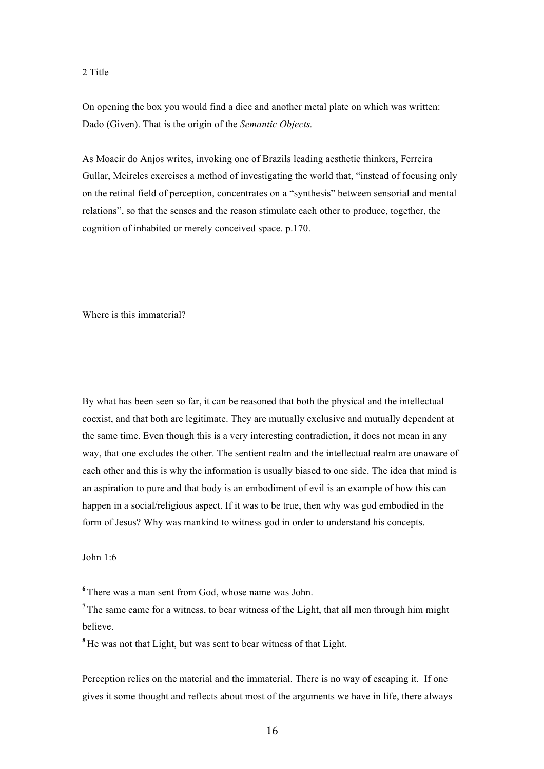### 2 Title

On opening the box you would find a dice and another metal plate on which was written: Dado (Given). That is the origin of the *Semantic Objects.*

As Moacir do Anjos writes, invoking one of Brazils leading aesthetic thinkers, Ferreira Gullar, Meireles exercises a method of investigating the world that, "instead of focusing only on the retinal field of perception, concentrates on a "synthesis" between sensorial and mental relations", so that the senses and the reason stimulate each other to produce, together, the cognition of inhabited or merely conceived space. p.170.

Where is this immaterial?

By what has been seen so far, it can be reasoned that both the physical and the intellectual coexist, and that both are legitimate. They are mutually exclusive and mutually dependent at the same time. Even though this is a very interesting contradiction, it does not mean in any way, that one excludes the other. The sentient realm and the intellectual realm are unaware of each other and this is why the information is usually biased to one side. The idea that mind is an aspiration to pure and that body is an embodiment of evil is an example of how this can happen in a social/religious aspect. If it was to be true, then why was god embodied in the form of Jesus? Why was mankind to witness god in order to understand his concepts.

John 1:6

**<sup>6</sup>** There was a man sent from God, whose name was John.

<sup>7</sup> The same came for a witness, to bear witness of the Light, that all men through him might believe.

**<sup>8</sup>** He was not that Light, but was sent to bear witness of that Light.

Perception relies on the material and the immaterial. There is no way of escaping it. If one gives it some thought and reflects about most of the arguments we have in life, there always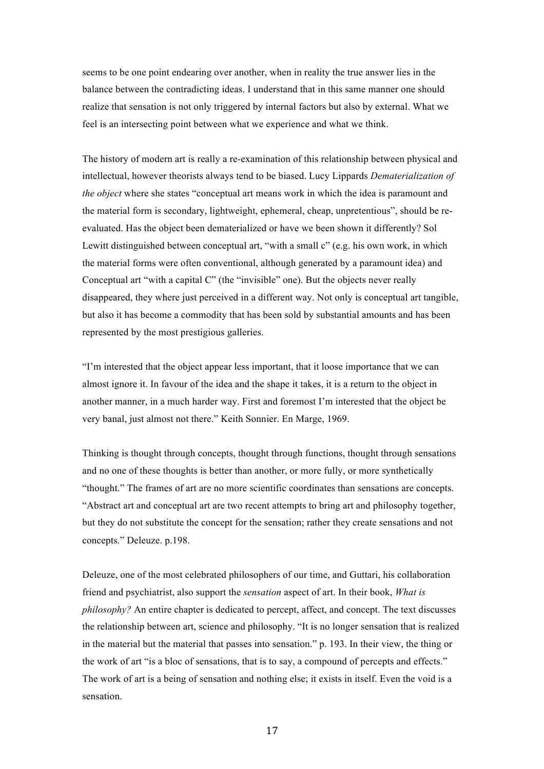seems to be one point endearing over another, when in reality the true answer lies in the balance between the contradicting ideas. I understand that in this same manner one should realize that sensation is not only triggered by internal factors but also by external. What we feel is an intersecting point between what we experience and what we think.

The history of modern art is really a re-examination of this relationship between physical and intellectual, however theorists always tend to be biased. Lucy Lippards *Dematerialization of the object* where she states "conceptual art means work in which the idea is paramount and the material form is secondary, lightweight, ephemeral, cheap, unpretentious", should be reevaluated. Has the object been dematerialized or have we been shown it differently? Sol Lewitt distinguished between conceptual art, "with a small c" (e.g. his own work, in which the material forms were often conventional, although generated by a paramount idea) and Conceptual art "with a capital C" (the "invisible" one). But the objects never really disappeared, they where just perceived in a different way. Not only is conceptual art tangible, but also it has become a commodity that has been sold by substantial amounts and has been represented by the most prestigious galleries.

"I'm interested that the object appear less important, that it loose importance that we can almost ignore it. In favour of the idea and the shape it takes, it is a return to the object in another manner, in a much harder way. First and foremost I'm interested that the object be very banal, just almost not there." Keith Sonnier. En Marge, 1969.

Thinking is thought through concepts, thought through functions, thought through sensations and no one of these thoughts is better than another, or more fully, or more synthetically "thought." The frames of art are no more scientific coordinates than sensations are concepts. "Abstract art and conceptual art are two recent attempts to bring art and philosophy together, but they do not substitute the concept for the sensation; rather they create sensations and not concepts." Deleuze. p.198.

Deleuze, one of the most celebrated philosophers of our time, and Guttari, his collaboration friend and psychiatrist, also support the *sensation* aspect of art. In their book, *What is philosophy?* An entire chapter is dedicated to percept, affect, and concept. The text discusses the relationship between art, science and philosophy. "It is no longer sensation that is realized in the material but the material that passes into sensation." p. 193. In their view, the thing or the work of art "is a bloc of sensations, that is to say, a compound of percepts and effects." The work of art is a being of sensation and nothing else; it exists in itself. Even the void is a sensation.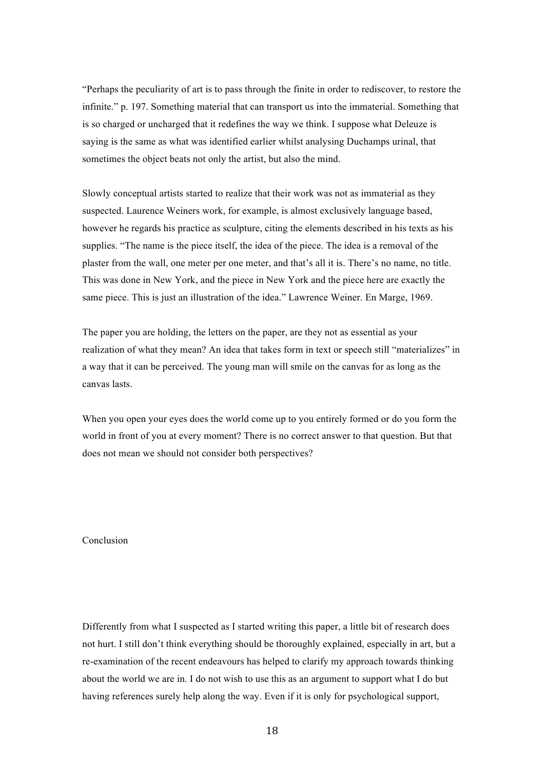"Perhaps the peculiarity of art is to pass through the finite in order to rediscover, to restore the infinite." p. 197. Something material that can transport us into the immaterial. Something that is so charged or uncharged that it redefines the way we think. I suppose what Deleuze is saying is the same as what was identified earlier whilst analysing Duchamps urinal, that sometimes the object beats not only the artist, but also the mind.

Slowly conceptual artists started to realize that their work was not as immaterial as they suspected. Laurence Weiners work, for example, is almost exclusively language based, however he regards his practice as sculpture, citing the elements described in his texts as his supplies. "The name is the piece itself, the idea of the piece. The idea is a removal of the plaster from the wall, one meter per one meter, and that's all it is. There's no name, no title. This was done in New York, and the piece in New York and the piece here are exactly the same piece. This is just an illustration of the idea." Lawrence Weiner. En Marge, 1969.

The paper you are holding, the letters on the paper, are they not as essential as your realization of what they mean? An idea that takes form in text or speech still "materializes" in a way that it can be perceived. The young man will smile on the canvas for as long as the canvas lasts.

When you open your eyes does the world come up to you entirely formed or do you form the world in front of you at every moment? There is no correct answer to that question. But that does not mean we should not consider both perspectives?

# Conclusion

Differently from what I suspected as I started writing this paper, a little bit of research does not hurt. I still don't think everything should be thoroughly explained, especially in art, but a re-examination of the recent endeavours has helped to clarify my approach towards thinking about the world we are in. I do not wish to use this as an argument to support what I do but having references surely help along the way. Even if it is only for psychological support,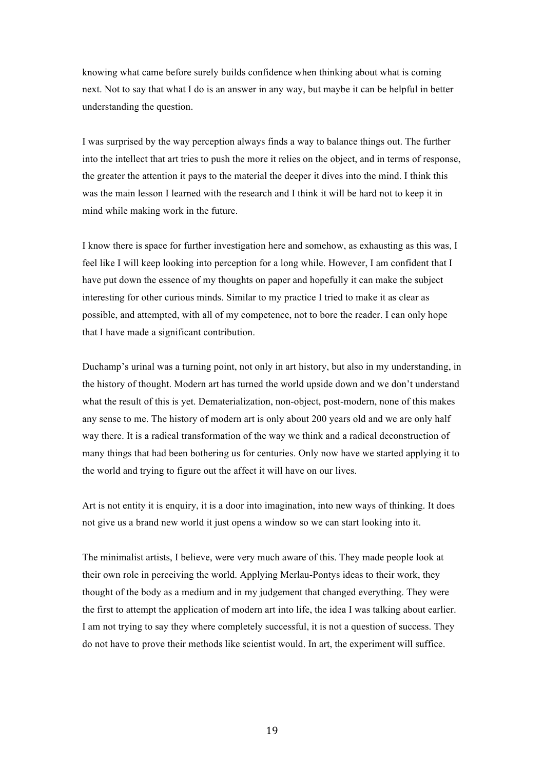knowing what came before surely builds confidence when thinking about what is coming next. Not to say that what I do is an answer in any way, but maybe it can be helpful in better understanding the question.

I was surprised by the way perception always finds a way to balance things out. The further into the intellect that art tries to push the more it relies on the object, and in terms of response, the greater the attention it pays to the material the deeper it dives into the mind. I think this was the main lesson I learned with the research and I think it will be hard not to keep it in mind while making work in the future.

I know there is space for further investigation here and somehow, as exhausting as this was, I feel like I will keep looking into perception for a long while. However, I am confident that I have put down the essence of my thoughts on paper and hopefully it can make the subject interesting for other curious minds. Similar to my practice I tried to make it as clear as possible, and attempted, with all of my competence, not to bore the reader. I can only hope that I have made a significant contribution.

Duchamp's urinal was a turning point, not only in art history, but also in my understanding, in the history of thought. Modern art has turned the world upside down and we don't understand what the result of this is yet. Dematerialization, non-object, post-modern, none of this makes any sense to me. The history of modern art is only about 200 years old and we are only half way there. It is a radical transformation of the way we think and a radical deconstruction of many things that had been bothering us for centuries. Only now have we started applying it to the world and trying to figure out the affect it will have on our lives.

Art is not entity it is enquiry, it is a door into imagination, into new ways of thinking. It does not give us a brand new world it just opens a window so we can start looking into it.

The minimalist artists, I believe, were very much aware of this. They made people look at their own role in perceiving the world. Applying Merlau-Pontys ideas to their work, they thought of the body as a medium and in my judgement that changed everything. They were the first to attempt the application of modern art into life, the idea I was talking about earlier. I am not trying to say they where completely successful, it is not a question of success. They do not have to prove their methods like scientist would. In art, the experiment will suffice.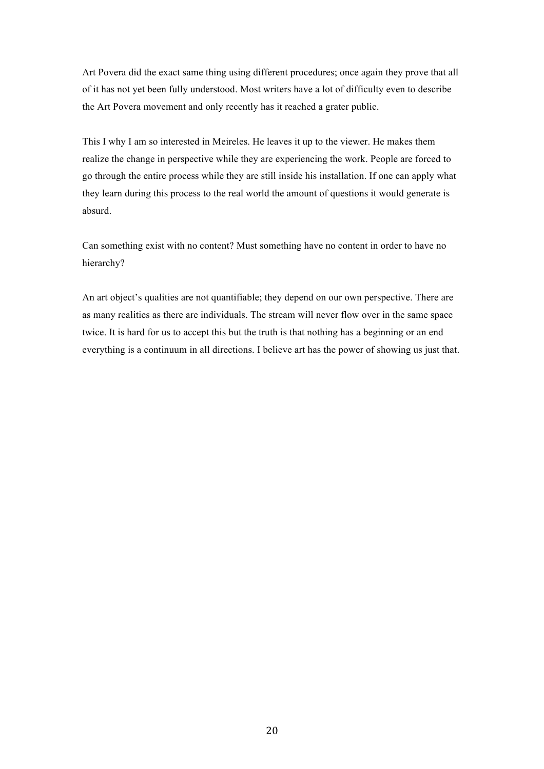Art Povera did the exact same thing using different procedures; once again they prove that all of it has not yet been fully understood. Most writers have a lot of difficulty even to describe the Art Povera movement and only recently has it reached a grater public.

This I why I am so interested in Meireles. He leaves it up to the viewer. He makes them realize the change in perspective while they are experiencing the work. People are forced to go through the entire process while they are still inside his installation. If one can apply what they learn during this process to the real world the amount of questions it would generate is absurd.

Can something exist with no content? Must something have no content in order to have no hierarchy?

An art object's qualities are not quantifiable; they depend on our own perspective. There are as many realities as there are individuals. The stream will never flow over in the same space twice. It is hard for us to accept this but the truth is that nothing has a beginning or an end everything is a continuum in all directions. I believe art has the power of showing us just that.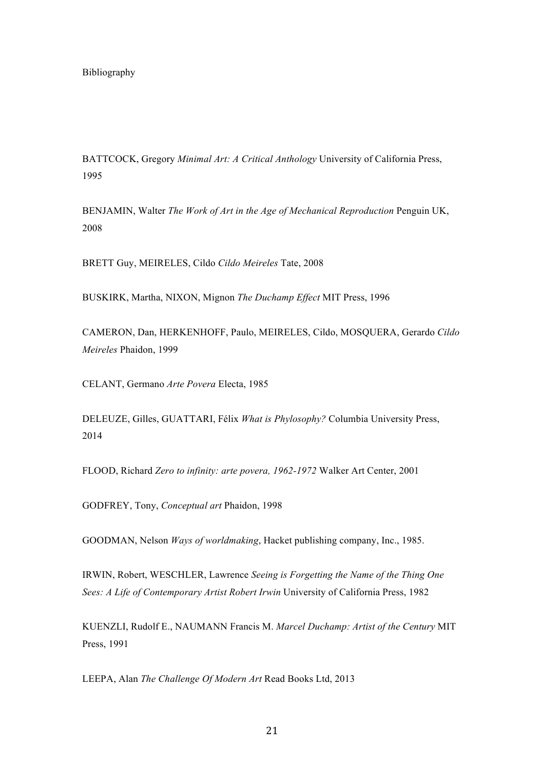BATTCOCK, Gregory *Minimal Art: A Critical Anthology* University of California Press, 1995

BENJAMIN, Walter *The Work of Art in the Age of Mechanical Reproduction Penguin UK*, 2008

BRETT Guy, MEIRELES, Cildo *Cildo Meireles* Tate, 2008

BUSKIRK, Martha, NIXON, Mignon *The Duchamp Effect* MIT Press, 1996

CAMERON, Dan, HERKENHOFF, Paulo, MEIRELES, Cildo, MOSQUERA, Gerardo *Cildo Meireles* Phaidon, 1999

CELANT, Germano *Arte Povera* Electa, 1985

DELEUZE, Gilles, GUATTARI, Félix *What is Phylosophy?* Columbia University Press, 2014

FLOOD, Richard *Zero to infinity: arte povera, 1962-1972* Walker Art Center, 2001

GODFREY, Tony, *Conceptual art* Phaidon, 1998

GOODMAN, Nelson *Ways of worldmaking*, Hacket publishing company, Inc., 1985.

IRWIN, Robert, WESCHLER, Lawrence *Seeing is Forgetting the Name of the Thing One Sees: A Life of Contemporary Artist Robert Irwin* University of California Press, 1982

KUENZLI, Rudolf E., NAUMANN Francis M. *Marcel Duchamp: Artist of the Century* MIT Press, 1991

LEEPA, Alan *The Challenge Of Modern Art* Read Books Ltd, 2013